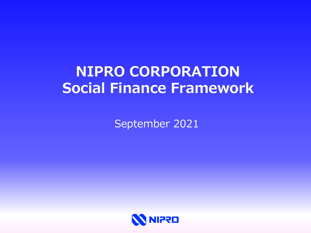# **NIPRO CORPORATION Social Finance Framework**

September 2021

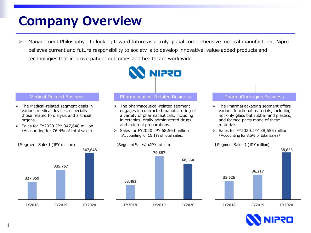## **Company Overview**

▶ Management Philosophy: In looking toward future as a truly global comprehensive medical manufacturer, Nipro believes current and future responsibility to society is to develop innovative, value-added products and technologies that improve patient outcomes and healthcare worldwide.



**FY2018 FY2019 FY2020**

**FY2018 FY2019 FY2020**



**FY2018 FY2019 FY2020**

1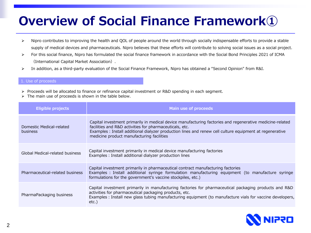# **Overview of Social Finance Framework①**

- ▶ Nipro contributes to improving the health and QOL of people around the world through socially indispensable efforts to provide a stable supply of medical devices and pharmaceuticals. Nipro believes that these efforts will contribute to solving social issues as a social project.
- For this social finance, Nipro has formulated the social finance framework in accordance with the Social Bond Principles 2021 of ICMA (International Capital Market Association).
- In addition, as a third-party evaluation of the Social Finance Framework, Nipro has obtained a "Second Opinion" from R&I.

## 1. Use of proceeds

- ▶ Proceeds will be allocated to finance or refinance capital investment or R&D spending in each segment.
- $\triangleright$  The main use of proceeds is shown in the table below.

| <b>Eligible projects</b>             | <b>Main use of proceeds</b>                                                                                                                                                                                                                                                                                                  |
|--------------------------------------|------------------------------------------------------------------------------------------------------------------------------------------------------------------------------------------------------------------------------------------------------------------------------------------------------------------------------|
| Domestic Medical-related<br>business | Capital investment primarily in medical device manufacturing factories and regenerative medicine-related<br>facilities and R&D activities for pharmaceuticals, etc.<br>Examples : Install additional dialyzer production lines and renew cell culture equipment at regenerative<br>medicine product manufacturing facilities |
| Global Medical-related business      | Capital investment primarily in medical device manufacturing factories<br>Examples : Install additional dialyzer production lines                                                                                                                                                                                            |
| Pharmaceutical-related business      | Capital investment primarily in pharmaceutical contract manufacturing factories<br>Examples : Install additional syringe formulation manufacturing equipment (to manufacture syringe<br>formulations for the government's vaccine stockpiles, etc.)                                                                          |
| PharmaPackaging business             | Capital investment primarily in manufacturing factories for pharmaceutical packaging products and R&D<br>activities for pharmaceutical packaging products, etc.<br>Examples : Install new glass tubing manufacturing equipment (to manufacture vials for vaccine developers,<br>etc.)                                        |

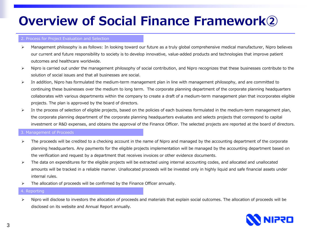# **Overview of Social Finance Framework②**

### 2. Process for Project Evaluation and Selection

- Management philosophy is as follows: In looking toward our future as a truly global comprehensive medical manufacturer, Nipro believes our current and future responsibility to society is to develop innovative, value-added products and technologies that improve patient outcomes and healthcare worldwide.
- $\triangleright$  Nipro is carried out under the management philosophy of social contribution, and Nipro recognizes that these businesses contribute to the solution of social issues and that all businesses are social.
- In addition, Nipro has formulated the medium-term management plan in line with management philosophy, and are committed to continuing these businesses over the medium to long term. The corporate planning department of the corporate planning headquarters collaborates with various departments within the company to create a draft of a medium-term management plan that incorporates eligible projects. The plan is approved by the board of directors.
- $\triangleright$  In the process of selection of eligible projects, based on the policies of each business formulated in the medium-term management plan, the corporate planning department of the corporate planning headquarters evaluates and selects projects that correspond to capital investment or R&D expenses, and obtains the approval of the Finance Officer. The selected projects are reported at the board of directors.

### 3. Management of Proceeds

- $\triangleright$  The proceeds will be credited to a checking account in the name of Nipro and managed by the accounting department of the corporate planning headquarters. Any payments for the eligible projects implementation will be managed by the accounting department based on the verification and request by a department that receives invoices or other evidence documents.
- $\triangleright$  The data on expenditures for the eligible projects will be extracted using internal accounting codes, and allocated and unallocated amounts will be tracked in a reliable manner. Unallocated proceeds will be invested only in highly liquid and safe financial assets under internal rules.
- $\triangleright$  The allocation of proceeds will be confirmed by the Finance Officer annually.

#### 4. Reporting

> Nipro will disclose to investors the allocation of proceeds and materials that explain social outcomes. The allocation of proceeds will be disclosed on its website and Annual Report annually.

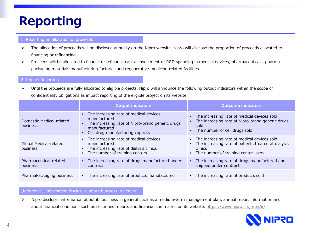# **Reporting**

## 1. Reporting on allocation of proceeds

- > The allocation of proceeds will be disclosed annually on the Nipro website. Nipro will disclose the proportion of proceeds allocated to financing or refinancing.
- ▶ Proceeds will be allocated to finance or refinance capital investment or R&D spending in medical devices, pharmaceuticals, pharma packaging materials manufacturing factories and regenerative medicine-related facilities.

## 2. Impact Reporting

> Until the proceeds are fully allocated to eligible projects, Nipro will announce the following output indicators within the scope of confidentiality obligations as impact reporting of the eligible project on its website.

|                                           | <b>Output indicators</b>                                                                                                                                                      | <b>Outcome indicators</b>                                                                                                                                             |
|-------------------------------------------|-------------------------------------------------------------------------------------------------------------------------------------------------------------------------------|-----------------------------------------------------------------------------------------------------------------------------------------------------------------------|
| Domestic Medical-related<br>business      | The increasing rate of medical devices<br>manufactured<br>The increasing rate of Nipro-brand generic drugs<br>$\bullet$<br>manufactured<br>• Cell drug manufacturing capacity | • The increasing rate of medical devices sold<br>The increasing rate of Nipro-brand generic drugs<br>sold<br>• The number of cell drugs sold                          |
| Global Medical-related<br>business        | • The increasing rate of medical devices<br>manufactured<br>• The increasing rate of dialysis clinics<br>• The number of training centers                                     | • The increasing rate of medical devices sold<br>The increasing rate of patients treated at dialysis<br>$\bullet$<br>clinics<br>• The number of training center users |
| Pharmaceutical-related<br><b>business</b> | • The increasing rate of drugs manufactured under<br>contract                                                                                                                 | The increasing rate of drugs manufactured and<br>$\bullet$<br>shipped under contract                                                                                  |
| PharmaPackaging business                  | • The increasing rate of products manufactured                                                                                                                                | • The increasing rate of products sold                                                                                                                                |

## (Reference) Information disclosure about business in general

 Nipro discloses information about its business in general such as a medium-term management plan, annual report information and about financial conditions such as securities reports and financial summaries on its website.<https://www.nipro.co.jp/en/ir/>

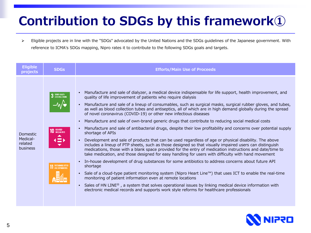# **Contribution to SDGs by this framework①**

> Eligible projects are in line with the "SDGs" advocated by the United Nations and the SDGs guidelines of the Japanese government. With reference to ICMA's SDGs mapping, Nipro rates it to contribute to the following SDGs goals and targets.